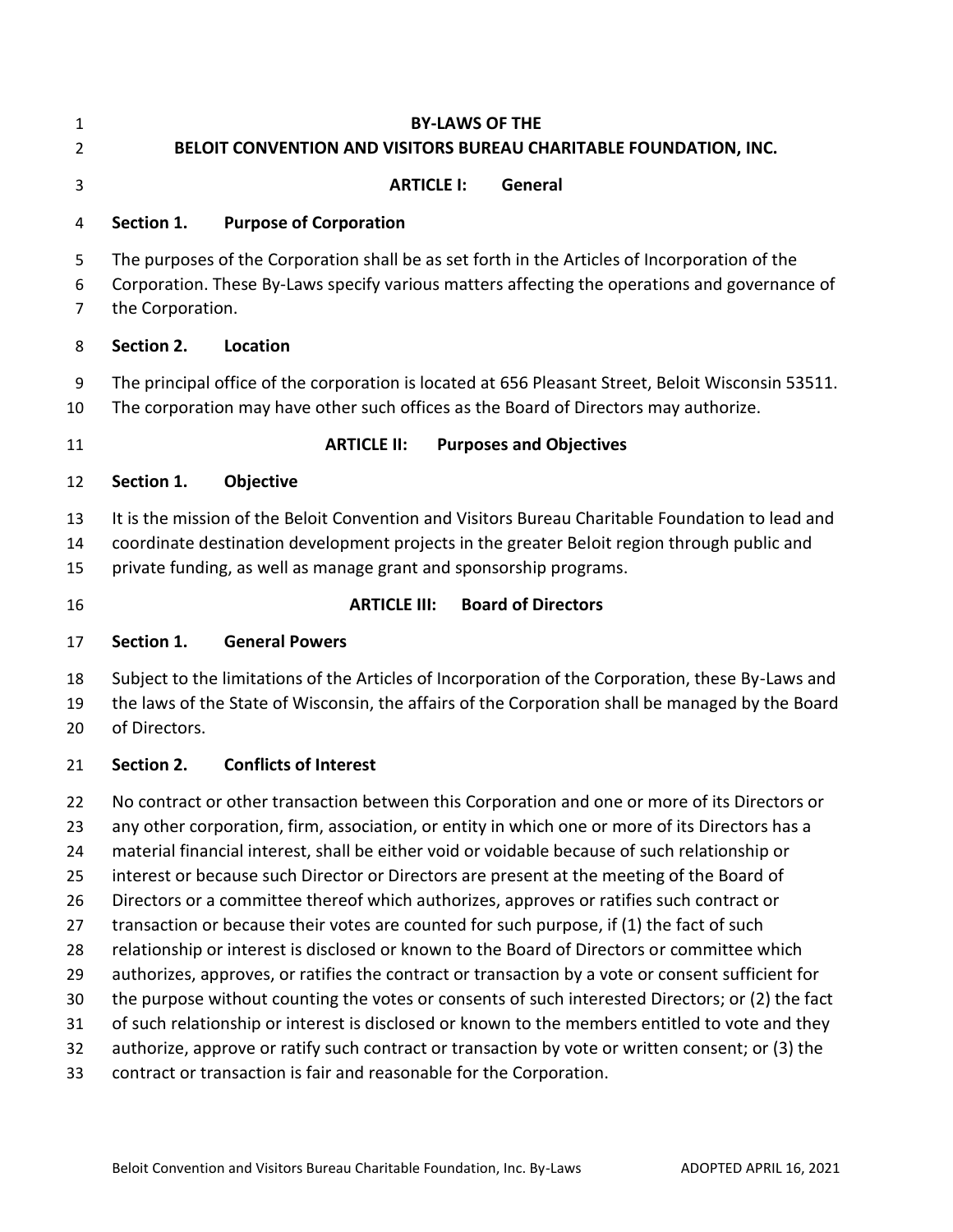| 1<br>$\overline{2}$                                | <b>BY-LAWS OF THE</b><br>BELOIT CONVENTION AND VISITORS BUREAU CHARITABLE FOUNDATION, INC.                                                                                                                                                                            |                                                                                                                                                                                                                                                                                                                                                                                                                                                                                                                                                                                                                                                                                                                                                                                                                                                                                                |  |  |
|----------------------------------------------------|-----------------------------------------------------------------------------------------------------------------------------------------------------------------------------------------------------------------------------------------------------------------------|------------------------------------------------------------------------------------------------------------------------------------------------------------------------------------------------------------------------------------------------------------------------------------------------------------------------------------------------------------------------------------------------------------------------------------------------------------------------------------------------------------------------------------------------------------------------------------------------------------------------------------------------------------------------------------------------------------------------------------------------------------------------------------------------------------------------------------------------------------------------------------------------|--|--|
| 3                                                  |                                                                                                                                                                                                                                                                       | <b>ARTICLE I:</b><br>General                                                                                                                                                                                                                                                                                                                                                                                                                                                                                                                                                                                                                                                                                                                                                                                                                                                                   |  |  |
| 4                                                  | Section 1.                                                                                                                                                                                                                                                            | <b>Purpose of Corporation</b>                                                                                                                                                                                                                                                                                                                                                                                                                                                                                                                                                                                                                                                                                                                                                                                                                                                                  |  |  |
| 5<br>6<br>7                                        | The purposes of the Corporation shall be as set forth in the Articles of Incorporation of the<br>Corporation. These By-Laws specify various matters affecting the operations and governance of<br>the Corporation.                                                    |                                                                                                                                                                                                                                                                                                                                                                                                                                                                                                                                                                                                                                                                                                                                                                                                                                                                                                |  |  |
| 8                                                  | Section 2.                                                                                                                                                                                                                                                            | <b>Location</b>                                                                                                                                                                                                                                                                                                                                                                                                                                                                                                                                                                                                                                                                                                                                                                                                                                                                                |  |  |
| 9<br>10                                            | The principal office of the corporation is located at 656 Pleasant Street, Beloit Wisconsin 53511.<br>The corporation may have other such offices as the Board of Directors may authorize.                                                                            |                                                                                                                                                                                                                                                                                                                                                                                                                                                                                                                                                                                                                                                                                                                                                                                                                                                                                                |  |  |
| 11                                                 |                                                                                                                                                                                                                                                                       | <b>Purposes and Objectives</b><br><b>ARTICLE II:</b>                                                                                                                                                                                                                                                                                                                                                                                                                                                                                                                                                                                                                                                                                                                                                                                                                                           |  |  |
| 12                                                 | Section 1.                                                                                                                                                                                                                                                            | Objective                                                                                                                                                                                                                                                                                                                                                                                                                                                                                                                                                                                                                                                                                                                                                                                                                                                                                      |  |  |
| 13<br>14<br>15                                     | It is the mission of the Beloit Convention and Visitors Bureau Charitable Foundation to lead and<br>coordinate destination development projects in the greater Beloit region through public and<br>private funding, as well as manage grant and sponsorship programs. |                                                                                                                                                                                                                                                                                                                                                                                                                                                                                                                                                                                                                                                                                                                                                                                                                                                                                                |  |  |
| 16                                                 |                                                                                                                                                                                                                                                                       | <b>Board of Directors</b><br><b>ARTICLE III:</b>                                                                                                                                                                                                                                                                                                                                                                                                                                                                                                                                                                                                                                                                                                                                                                                                                                               |  |  |
| 17                                                 | Section 1.                                                                                                                                                                                                                                                            | <b>General Powers</b>                                                                                                                                                                                                                                                                                                                                                                                                                                                                                                                                                                                                                                                                                                                                                                                                                                                                          |  |  |
| 18<br>19<br>20                                     | Subject to the limitations of the Articles of Incorporation of the Corporation, these By-Laws and<br>the laws of the State of Wisconsin, the affairs of the Corporation shall be managed by the Board<br>of Directors.                                                |                                                                                                                                                                                                                                                                                                                                                                                                                                                                                                                                                                                                                                                                                                                                                                                                                                                                                                |  |  |
| 21                                                 | Section 2.                                                                                                                                                                                                                                                            | <b>Conflicts of Interest</b>                                                                                                                                                                                                                                                                                                                                                                                                                                                                                                                                                                                                                                                                                                                                                                                                                                                                   |  |  |
| 22<br>23<br>24<br>25<br>26<br>27<br>28<br>29<br>30 |                                                                                                                                                                                                                                                                       | No contract or other transaction between this Corporation and one or more of its Directors or<br>any other corporation, firm, association, or entity in which one or more of its Directors has a<br>material financial interest, shall be either void or voidable because of such relationship or<br>interest or because such Director or Directors are present at the meeting of the Board of<br>Directors or a committee thereof which authorizes, approves or ratifies such contract or<br>transaction or because their votes are counted for such purpose, if (1) the fact of such<br>relationship or interest is disclosed or known to the Board of Directors or committee which<br>authorizes, approves, or ratifies the contract or transaction by a vote or consent sufficient for<br>the purpose without counting the votes or consents of such interested Directors; or (2) the fact |  |  |

- of such relationship or interest is disclosed or known to the members entitled to vote and they
- authorize, approve or ratify such contract or transaction by vote or written consent; or (3) the
- contract or transaction is fair and reasonable for the Corporation.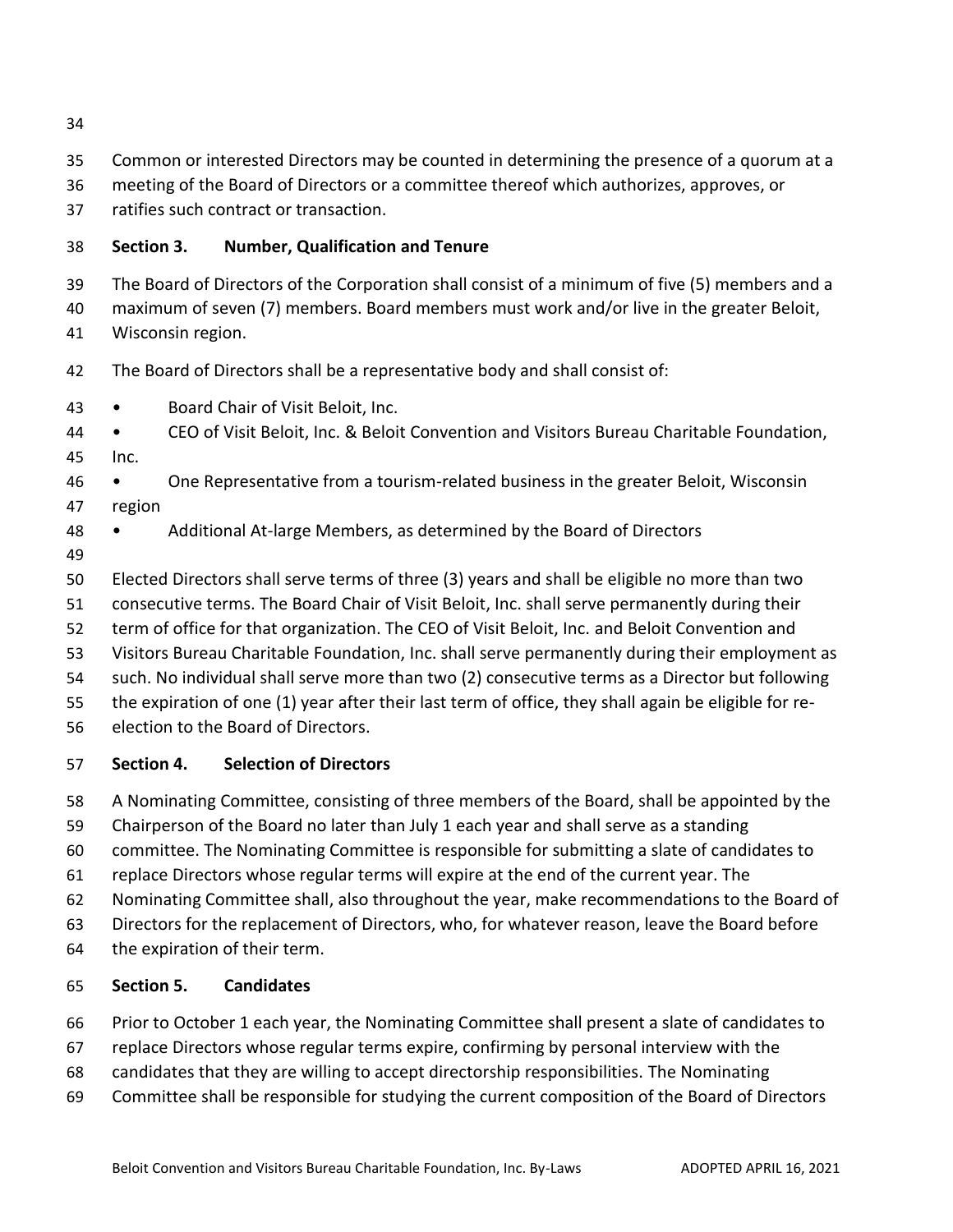- 
- Common or interested Directors may be counted in determining the presence of a quorum at a
- meeting of the Board of Directors or a committee thereof which authorizes, approves, or
- ratifies such contract or transaction.

## **Section 3. Number, Qualification and Tenure**

The Board of Directors of the Corporation shall consist of a minimum of five (5) members and a

maximum of seven (7) members. Board members must work and/or live in the greater Beloit,

- Wisconsin region.
- The Board of Directors shall be a representative body and shall consist of:
- Board Chair of Visit Beloit, Inc.
- CEO of Visit Beloit, Inc. & Beloit Convention and Visitors Bureau Charitable Foundation, Inc.
- One Representative from a tourism-related business in the greater Beloit, Wisconsin region
- Additional At-large Members, as determined by the Board of Directors
- 

Elected Directors shall serve terms of three (3) years and shall be eligible no more than two

- consecutive terms. The Board Chair of Visit Beloit, Inc. shall serve permanently during their
- term of office for that organization. The CEO of Visit Beloit, Inc. and Beloit Convention and
- Visitors Bureau Charitable Foundation, Inc. shall serve permanently during their employment as
- such. No individual shall serve more than two (2) consecutive terms as a Director but following
- the expiration of one (1) year after their last term of office, they shall again be eligible for re-
- election to the Board of Directors.

# **Section 4. Selection of Directors**

A Nominating Committee, consisting of three members of the Board, shall be appointed by the

- Chairperson of the Board no later than July 1 each year and shall serve as a standing
- committee. The Nominating Committee is responsible for submitting a slate of candidates to
- replace Directors whose regular terms will expire at the end of the current year. The
- Nominating Committee shall, also throughout the year, make recommendations to the Board of
- Directors for the replacement of Directors, who, for whatever reason, leave the Board before
- the expiration of their term.

# **Section 5. Candidates**

- Prior to October 1 each year, the Nominating Committee shall present a slate of candidates to
- replace Directors whose regular terms expire, confirming by personal interview with the
- candidates that they are willing to accept directorship responsibilities. The Nominating
- Committee shall be responsible for studying the current composition of the Board of Directors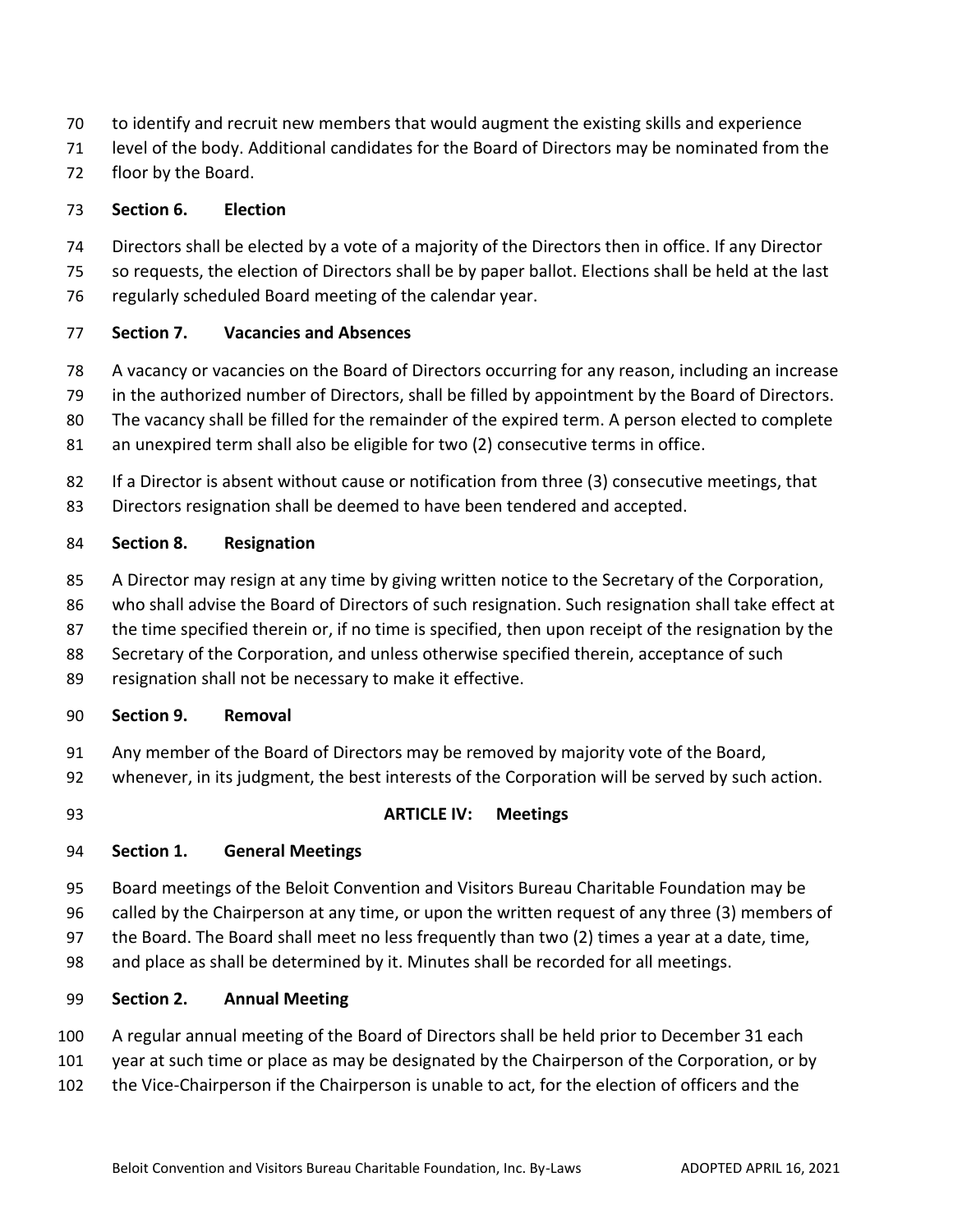- to identify and recruit new members that would augment the existing skills and experience
- level of the body. Additional candidates for the Board of Directors may be nominated from the
- floor by the Board.

#### **Section 6. Election**

- Directors shall be elected by a vote of a majority of the Directors then in office. If any Director
- so requests, the election of Directors shall be by paper ballot. Elections shall be held at the last
- regularly scheduled Board meeting of the calendar year.

## **Section 7. Vacancies and Absences**

- A vacancy or vacancies on the Board of Directors occurring for any reason, including an increase
- in the authorized number of Directors, shall be filled by appointment by the Board of Directors.
- The vacancy shall be filled for the remainder of the expired term. A person elected to complete
- an unexpired term shall also be eligible for two (2) consecutive terms in office.
- If a Director is absent without cause or notification from three (3) consecutive meetings, that
- Directors resignation shall be deemed to have been tendered and accepted.

## **Section 8. Resignation**

- A Director may resign at any time by giving written notice to the Secretary of the Corporation,
- who shall advise the Board of Directors of such resignation. Such resignation shall take effect at
- the time specified therein or, if no time is specified, then upon receipt of the resignation by the
- Secretary of the Corporation, and unless otherwise specified therein, acceptance of such
- resignation shall not be necessary to make it effective.

#### **Section 9. Removal**

- Any member of the Board of Directors may be removed by majority vote of the Board,
- whenever, in its judgment, the best interests of the Corporation will be served by such action.
- 

## **ARTICLE IV: Meetings**

## **Section 1. General Meetings**

- Board meetings of the Beloit Convention and Visitors Bureau Charitable Foundation may be
- called by the Chairperson at any time, or upon the written request of any three (3) members of
- the Board. The Board shall meet no less frequently than two (2) times a year at a date, time,
- and place as shall be determined by it. Minutes shall be recorded for all meetings.

## **Section 2. Annual Meeting**

- A regular annual meeting of the Board of Directors shall be held prior to December 31 each
- year at such time or place as may be designated by the Chairperson of the Corporation, or by
- the Vice-Chairperson if the Chairperson is unable to act, for the election of officers and the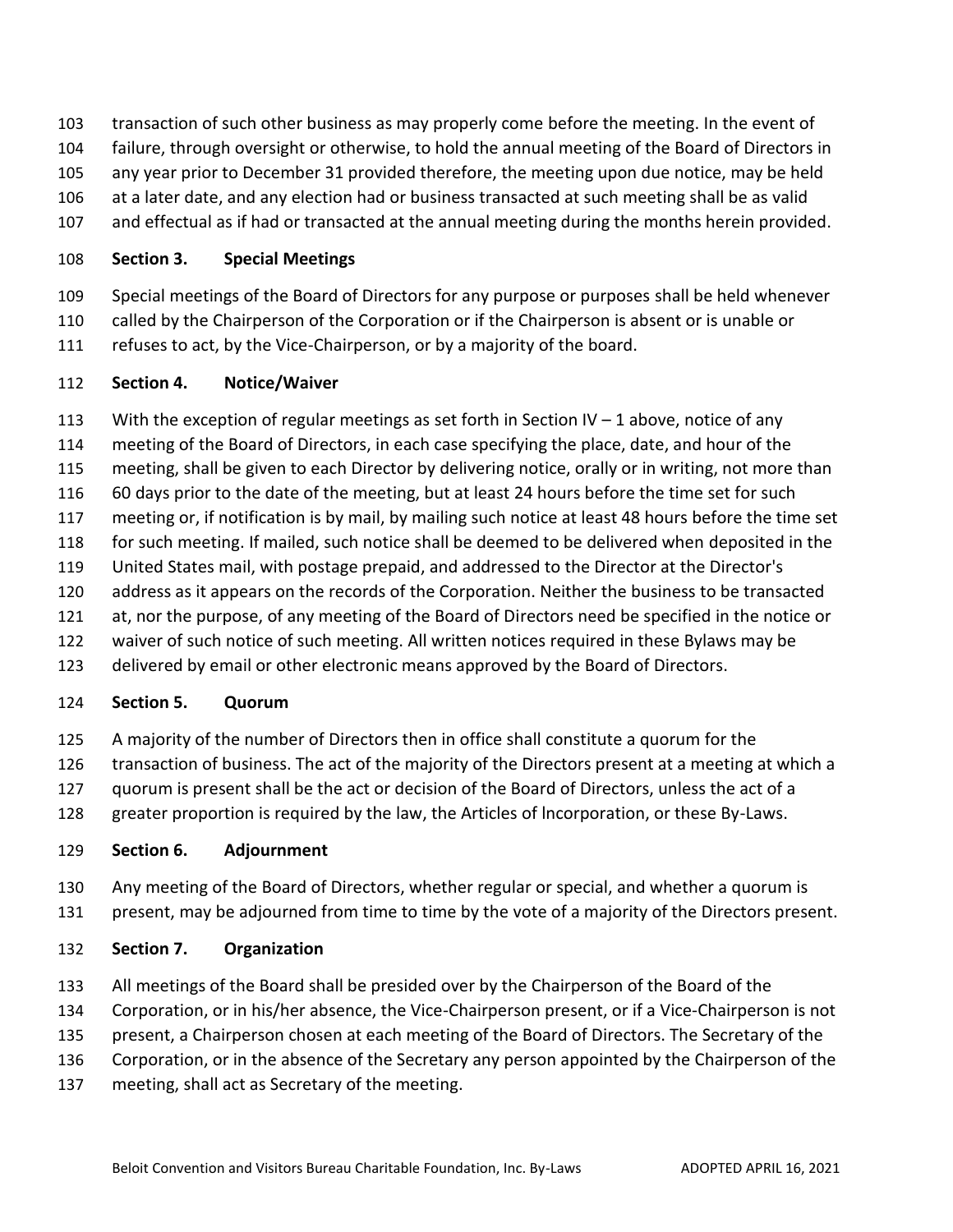- transaction of such other business as may properly come before the meeting. In the event of
- failure, through oversight or otherwise, to hold the annual meeting of the Board of Directors in
- any year prior to December 31 provided therefore, the meeting upon due notice, may be held
- at a later date, and any election had or business transacted at such meeting shall be as valid
- and effectual as if had or transacted at the annual meeting during the months herein provided.

## **Section 3. Special Meetings**

- Special meetings of the Board of Directors for any purpose or purposes shall be held whenever
- called by the Chairperson of the Corporation or if the Chairperson is absent or is unable or
- refuses to act, by the Vice-Chairperson, or by a majority of the board.

## **Section 4. Notice/Waiver**

- 113 With the exception of regular meetings as set forth in Section IV  $-1$  above, notice of any
- meeting of the Board of Directors, in each case specifying the place, date, and hour of the
- meeting, shall be given to each Director by delivering notice, orally or in writing, not more than
- 60 days prior to the date of the meeting, but at least 24 hours before the time set for such
- meeting or, if notification is by mail, by mailing such notice at least 48 hours before the time set
- for such meeting. If mailed, such notice shall be deemed to be delivered when deposited in the
- United States mail, with postage prepaid, and addressed to the Director at the Director's
- address as it appears on the records of the Corporation. Neither the business to be transacted
- at, nor the purpose, of any meeting of the Board of Directors need be specified in the notice or
- waiver of such notice of such meeting. All written notices required in these Bylaws may be
- delivered by email or other electronic means approved by the Board of Directors.

# **Section 5. Quorum**

- A majority of the number of Directors then in office shall constitute a quorum for the
- transaction of business. The act of the majority of the Directors present at a meeting at which a
- quorum is present shall be the act or decision of the Board of Directors, unless the act of a
- greater proportion is required by the law, the Articles of lncorporation, or these By-Laws.

# **Section 6. Adjournment**

- Any meeting of the Board of Directors, whether regular or special, and whether a quorum is
- present, may be adjourned from time to time by the vote of a majority of the Directors present.

# **Section 7. Organization**

- All meetings of the Board shall be presided over by the Chairperson of the Board of the
- Corporation, or in his/her absence, the Vice-Chairperson present, or if a Vice-Chairperson is not
- present, a Chairperson chosen at each meeting of the Board of Directors. The Secretary of the
- Corporation, or in the absence of the Secretary any person appointed by the Chairperson of the
- meeting, shall act as Secretary of the meeting.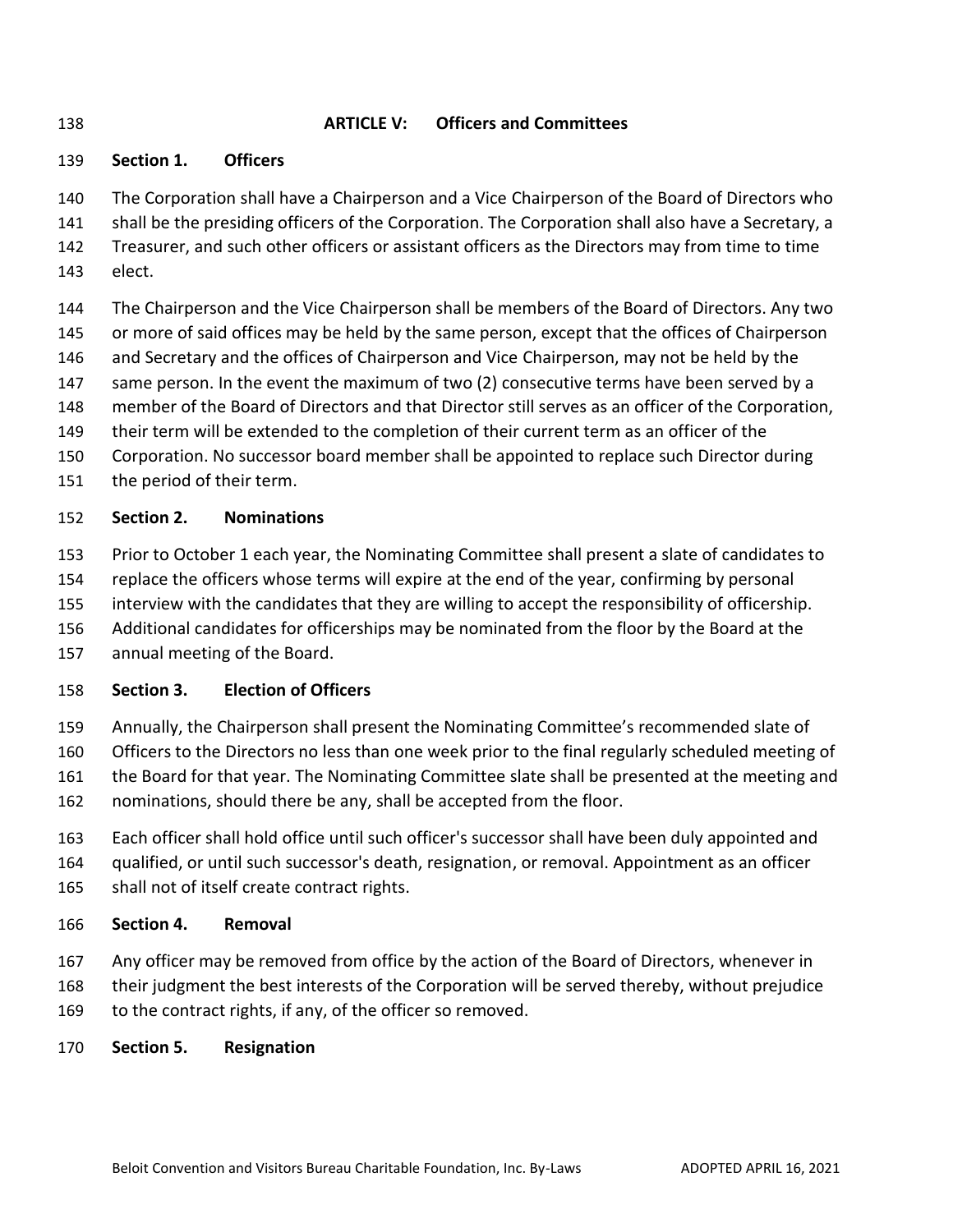#### **ARTICLE V: Officers and Committees**

#### **Section 1. Officers**

 The Corporation shall have a Chairperson and a Vice Chairperson of the Board of Directors who shall be the presiding officers of the Corporation. The Corporation shall also have a Secretary, a Treasurer, and such other officers or assistant officers as the Directors may from time to time

- elect.
- The Chairperson and the Vice Chairperson shall be members of the Board of Directors. Any two
- or more of said offices may be held by the same person, except that the offices of Chairperson
- 146 and Secretary and the offices of Chairperson and Vice Chairperson, may not be held by the
- same person. In the event the maximum of two (2) consecutive terms have been served by a
- member of the Board of Directors and that Director still serves as an officer of the Corporation, their term will be extended to the completion of their current term as an officer of the
- Corporation. No successor board member shall be appointed to replace such Director during
- the period of their term.

## **Section 2. Nominations**

- Prior to October 1 each year, the Nominating Committee shall present a slate of candidates to
- replace the officers whose terms will expire at the end of the year, confirming by personal
- interview with the candidates that they are willing to accept the responsibility of officership.
- Additional candidates for officerships may be nominated from the floor by the Board at the
- annual meeting of the Board.

## **Section 3. Election of Officers**

- Annually, the Chairperson shall present the Nominating Committee's recommended slate of
- Officers to the Directors no less than one week prior to the final regularly scheduled meeting of
- the Board for that year. The Nominating Committee slate shall be presented at the meeting and
- nominations, should there be any, shall be accepted from the floor.
- Each officer shall hold office until such officer's successor shall have been duly appointed and
- qualified, or until such successor's death, resignation, or removal. Appointment as an officer shall not of itself create contract rights.

## **Section 4. Removal**

- Any officer may be removed from office by the action of the Board of Directors, whenever in
- their judgment the best interests of the Corporation will be served thereby, without prejudice
- 169 to the contract rights, if any, of the officer so removed.
- **Section 5. Resignation**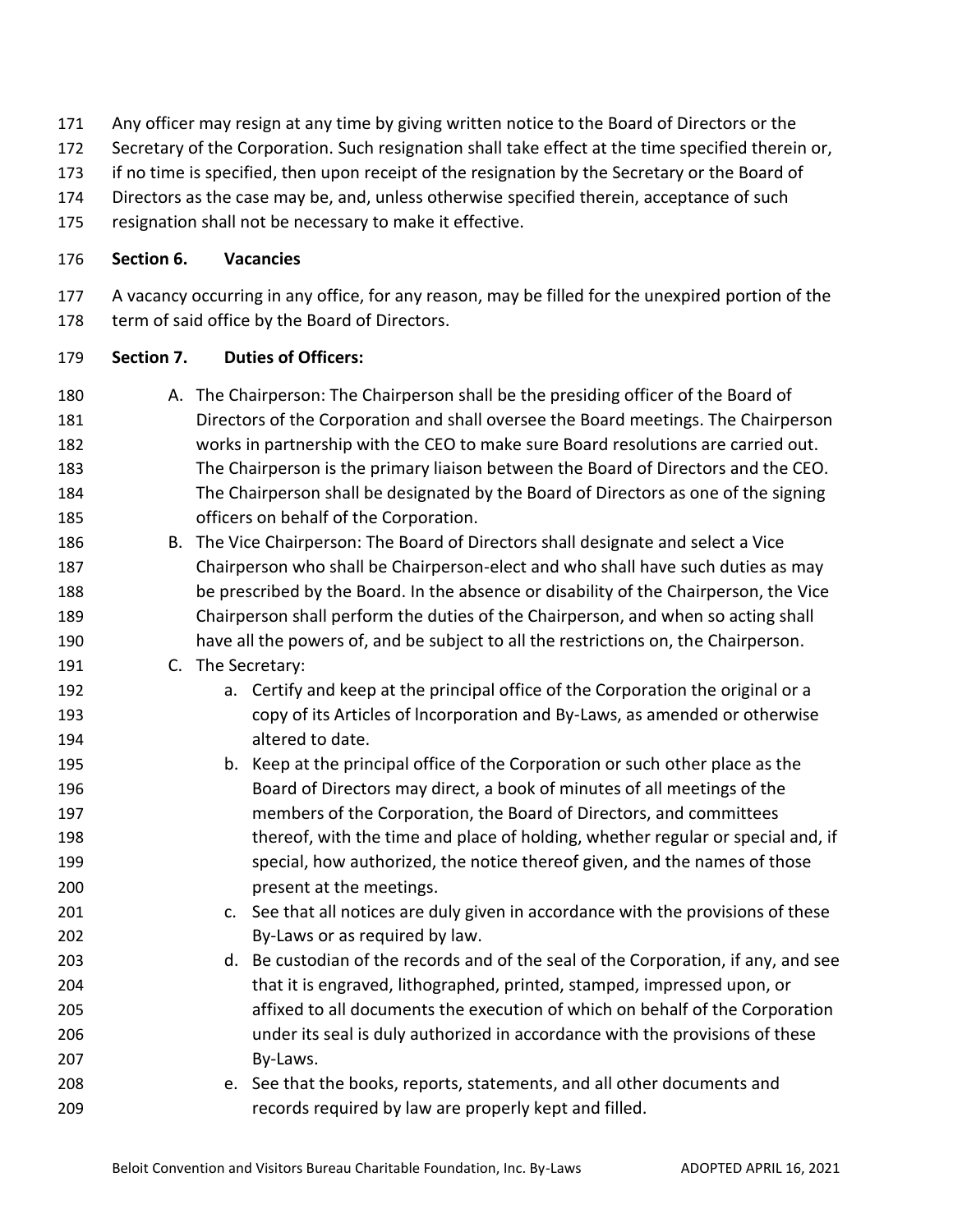- Any officer may resign at any time by giving written notice to the Board of Directors or the
- Secretary of the Corporation. Such resignation shall take effect at the time specified therein or,
- if no time is specified, then upon receipt of the resignation by the Secretary or the Board of
- Directors as the case may be, and, unless otherwise specified therein, acceptance of such
- resignation shall not be necessary to make it effective.

## **Section 6. Vacancies**

 A vacancy occurring in any office, for any reason, may be filled for the unexpired portion of the 178 term of said office by the Board of Directors.

- **Section 7. Duties of Officers:**
- A. The Chairperson: The Chairperson shall be the presiding officer of the Board of Directors of the Corporation and shall oversee the Board meetings. The Chairperson works in partnership with the CEO to make sure Board resolutions are carried out. The Chairperson is the primary liaison between the Board of Directors and the CEO. The Chairperson shall be designated by the Board of Directors as one of the signing officers on behalf of the Corporation.
- B. The Vice Chairperson: The Board of Directors shall designate and select a Vice Chairperson who shall be Chairperson-elect and who shall have such duties as may be prescribed by the Board. In the absence or disability of the Chairperson, the Vice Chairperson shall perform the duties of the Chairperson, and when so acting shall have all the powers of, and be subject to all the restrictions on, the Chairperson.
- C. The Secretary:
- a. Certify and keep at the principal office of the Corporation the original or a copy of its Articles of lncorporation and By-Laws, as amended or otherwise altered to date.
- b. Keep at the principal office of the Corporation or such other place as the Board of Directors may direct, a book of minutes of all meetings of the members of the Corporation, the Board of Directors, and committees thereof, with the time and place of holding, whether regular or special and, if special, how authorized, the notice thereof given, and the names of those **present at the meetings.**
- c. See that all notices are duly given in accordance with the provisions of these By-Laws or as required by law.
- d. Be custodian of the records and of the seal of the Corporation, if any, and see that it is engraved, lithographed, printed, stamped, impressed upon, or affixed to all documents the execution of which on behalf of the Corporation under its seal is duly authorized in accordance with the provisions of these By-Laws.
- e. See that the books, reports, statements, and all other documents and records required by law are properly kept and filled.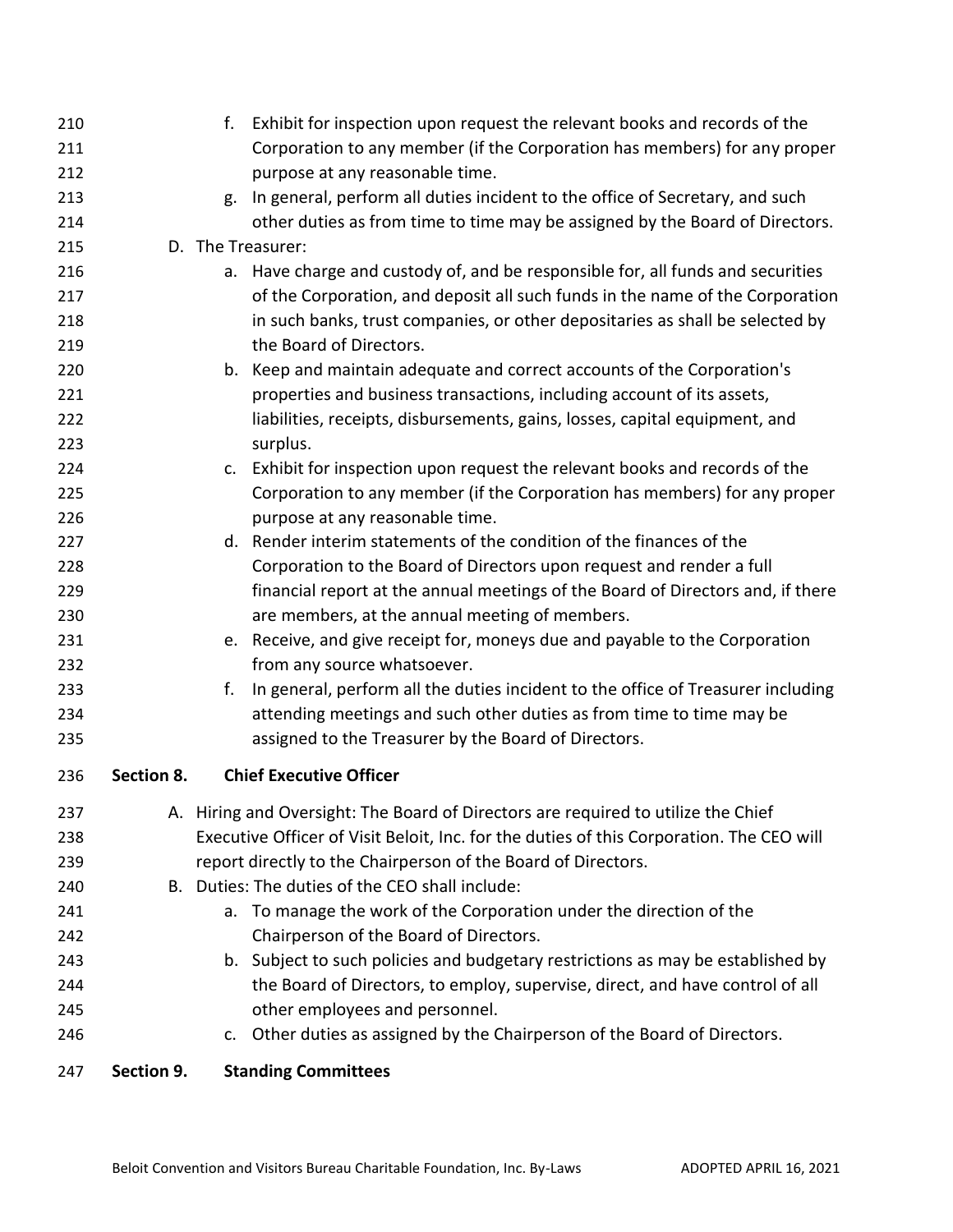| 210 |            | f.                | Exhibit for inspection upon request the relevant books and records of the                |  |
|-----|------------|-------------------|------------------------------------------------------------------------------------------|--|
| 211 |            |                   | Corporation to any member (if the Corporation has members) for any proper                |  |
| 212 |            |                   | purpose at any reasonable time.                                                          |  |
| 213 |            | g.                | In general, perform all duties incident to the office of Secretary, and such             |  |
| 214 |            |                   | other duties as from time to time may be assigned by the Board of Directors.             |  |
| 215 |            | D. The Treasurer: |                                                                                          |  |
| 216 |            |                   | a. Have charge and custody of, and be responsible for, all funds and securities          |  |
| 217 |            |                   | of the Corporation, and deposit all such funds in the name of the Corporation            |  |
| 218 |            |                   | in such banks, trust companies, or other depositaries as shall be selected by            |  |
| 219 |            |                   | the Board of Directors.                                                                  |  |
| 220 |            |                   | b. Keep and maintain adequate and correct accounts of the Corporation's                  |  |
| 221 |            |                   | properties and business transactions, including account of its assets,                   |  |
| 222 |            |                   | liabilities, receipts, disbursements, gains, losses, capital equipment, and              |  |
| 223 |            |                   | surplus.                                                                                 |  |
| 224 |            |                   | c. Exhibit for inspection upon request the relevant books and records of the             |  |
| 225 |            |                   | Corporation to any member (if the Corporation has members) for any proper                |  |
| 226 |            |                   | purpose at any reasonable time.                                                          |  |
| 227 |            |                   | d. Render interim statements of the condition of the finances of the                     |  |
| 228 |            |                   | Corporation to the Board of Directors upon request and render a full                     |  |
| 229 |            |                   | financial report at the annual meetings of the Board of Directors and, if there          |  |
| 230 |            |                   | are members, at the annual meeting of members.                                           |  |
| 231 |            |                   | e. Receive, and give receipt for, moneys due and payable to the Corporation              |  |
| 232 |            |                   | from any source whatsoever.                                                              |  |
| 233 |            | f.                | In general, perform all the duties incident to the office of Treasurer including         |  |
| 234 |            |                   | attending meetings and such other duties as from time to time may be                     |  |
| 235 |            |                   | assigned to the Treasurer by the Board of Directors.                                     |  |
| 236 | Section 8. |                   | <b>Chief Executive Officer</b>                                                           |  |
| 237 |            |                   | A. Hiring and Oversight: The Board of Directors are required to utilize the Chief        |  |
| 238 |            |                   | Executive Officer of Visit Beloit, Inc. for the duties of this Corporation. The CEO will |  |
| 239 |            |                   | report directly to the Chairperson of the Board of Directors.                            |  |
| 240 |            |                   | B. Duties: The duties of the CEO shall include:                                          |  |
| 241 |            |                   | a. To manage the work of the Corporation under the direction of the                      |  |
| 242 |            |                   | Chairperson of the Board of Directors.                                                   |  |
| 243 |            |                   | b. Subject to such policies and budgetary restrictions as may be established by          |  |
| 244 |            |                   | the Board of Directors, to employ, supervise, direct, and have control of all            |  |
| 245 |            |                   | other employees and personnel.                                                           |  |
| 246 |            | c.                | Other duties as assigned by the Chairperson of the Board of Directors.                   |  |
| 247 | Section 9. |                   | <b>Standing Committees</b>                                                               |  |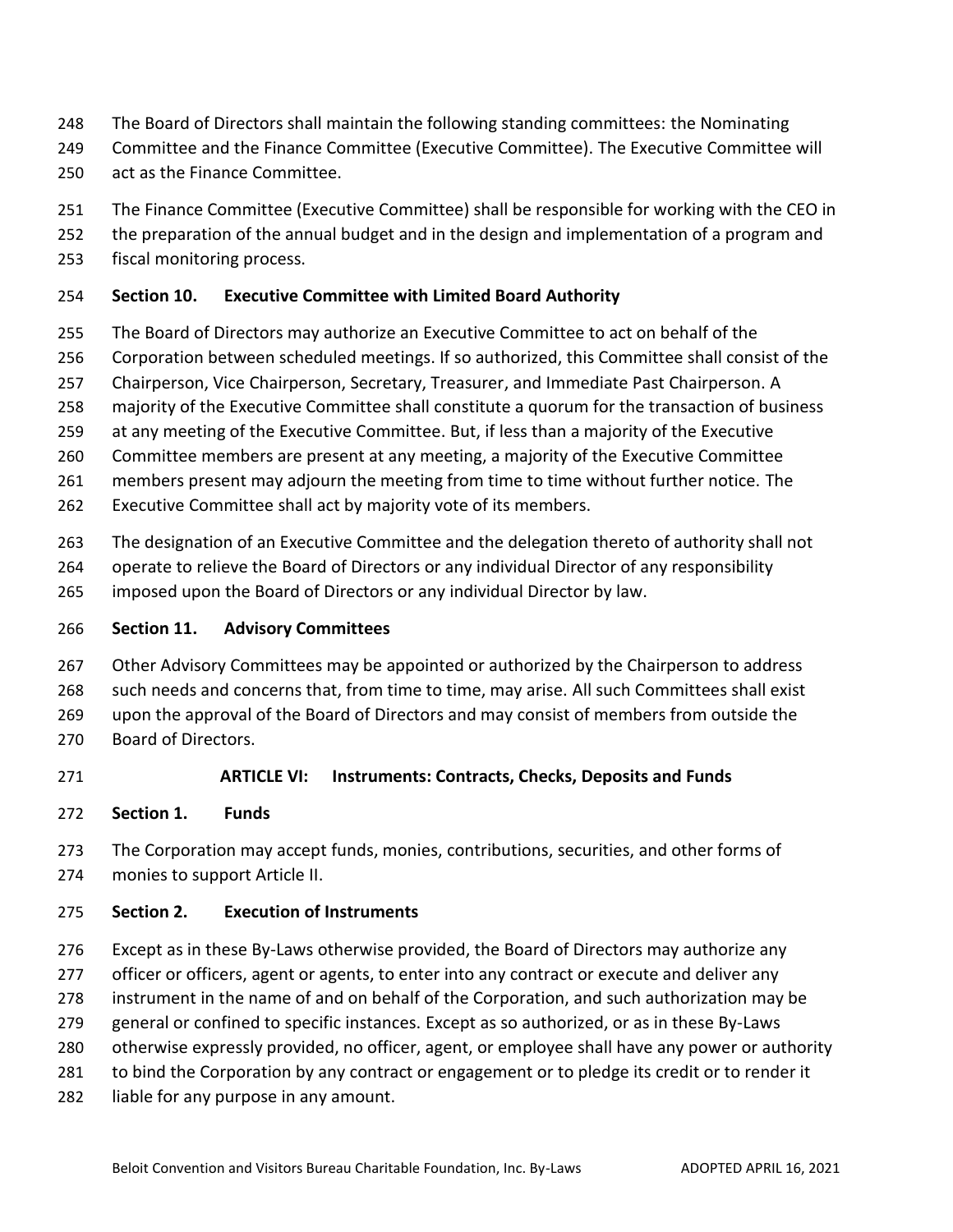- The Board of Directors shall maintain the following standing committees: the Nominating
- Committee and the Finance Committee (Executive Committee). The Executive Committee will
- act as the Finance Committee.
- The Finance Committee (Executive Committee) shall be responsible for working with the CEO in
- the preparation of the annual budget and in the design and implementation of a program and
- fiscal monitoring process.

## **Section 10. Executive Committee with Limited Board Authority**

- The Board of Directors may authorize an Executive Committee to act on behalf of the
- Corporation between scheduled meetings. If so authorized, this Committee shall consist of the
- Chairperson, Vice Chairperson, Secretary, Treasurer, and Immediate Past Chairperson. A
- majority of the Executive Committee shall constitute a quorum for the transaction of business
- at any meeting of the Executive Committee. But, if less than a majority of the Executive
- Committee members are present at any meeting, a majority of the Executive Committee
- members present may adjourn the meeting from time to time without further notice. The
- Executive Committee shall act by majority vote of its members.
- The designation of an Executive Committee and the delegation thereto of authority shall not
- operate to relieve the Board of Directors or any individual Director of any responsibility
- imposed upon the Board of Directors or any individual Director by law.
- **Section 11. Advisory Committees**
- 267 Other Advisory Committees may be appointed or authorized by the Chairperson to address such needs and concerns that, from time to time, may arise. All such Committees shall exist upon the approval of the Board of Directors and may consist of members from outside the
- Board of Directors.

## **ARTICLE VI: Instruments: Contracts, Checks, Deposits and Funds**

- **Section 1. Funds**
- The Corporation may accept funds, monies, contributions, securities, and other forms of monies to support Article II.

## **Section 2. Execution of Instruments**

 Except as in these By-Laws otherwise provided, the Board of Directors may authorize any 277 officer or officers, agent or agents, to enter into any contract or execute and deliver any instrument in the name of and on behalf of the Corporation, and such authorization may be general or confined to specific instances. Except as so authorized, or as in these By-Laws otherwise expressly provided, no officer, agent, or employee shall have any power or authority to bind the Corporation by any contract or engagement or to pledge its credit or to render it liable for any purpose in any amount.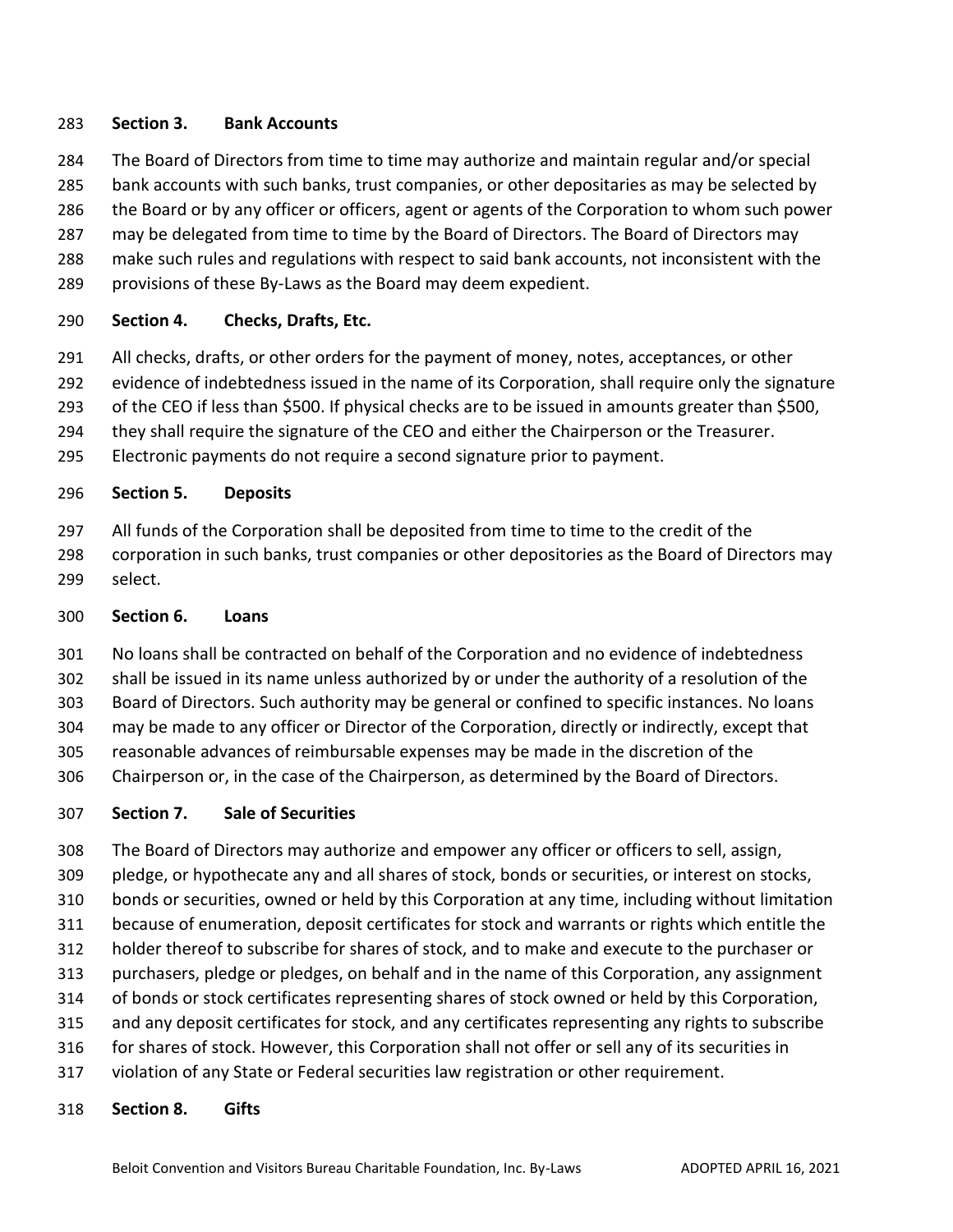#### **Section 3. Bank Accounts**

The Board of Directors from time to time may authorize and maintain regular and/or special

- bank accounts with such banks, trust companies, or other depositaries as may be selected by
- the Board or by any officer or officers, agent or agents of the Corporation to whom such power
- may be delegated from time to time by the Board of Directors. The Board of Directors may
- make such rules and regulations with respect to said bank accounts, not inconsistent with the
- provisions of these By-Laws as the Board may deem expedient.

## **Section 4. Checks, Drafts, Etc.**

- 291 All checks, drafts, or other orders for the payment of money, notes, acceptances, or other
- evidence of indebtedness issued in the name of its Corporation, shall require only the signature
- of the CEO if less than \$500. If physical checks are to be issued in amounts greater than \$500,
- they shall require the signature of the CEO and either the Chairperson or the Treasurer.
- Electronic payments do not require a second signature prior to payment.

## **Section 5. Deposits**

- All funds of the Corporation shall be deposited from time to time to the credit of the
- corporation in such banks, trust companies or other depositories as the Board of Directors may select.

## **Section 6. Loans**

No loans shall be contracted on behalf of the Corporation and no evidence of indebtedness

- shall be issued in its name unless authorized by or under the authority of a resolution of the
- Board of Directors. Such authority may be general or confined to specific instances. No loans
- may be made to any officer or Director of the Corporation, directly or indirectly, except that
- reasonable advances of reimbursable expenses may be made in the discretion of the
- Chairperson or, in the case of the Chairperson, as determined by the Board of Directors.

## **Section 7. Sale of Securities**

- The Board of Directors may authorize and empower any officer or officers to sell, assign, pledge, or hypothecate any and all shares of stock, bonds or securities, or interest on stocks, bonds or securities, owned or held by this Corporation at any time, including without limitation because of enumeration, deposit certificates for stock and warrants or rights which entitle the holder thereof to subscribe for shares of stock, and to make and execute to the purchaser or purchasers, pledge or pledges, on behalf and in the name of this Corporation, any assignment of bonds or stock certificates representing shares of stock owned or held by this Corporation, and any deposit certificates for stock, and any certificates representing any rights to subscribe for shares of stock. However, this Corporation shall not offer or sell any of its securities in
- violation of any State or Federal securities law registration or other requirement.

## **Section 8. Gifts**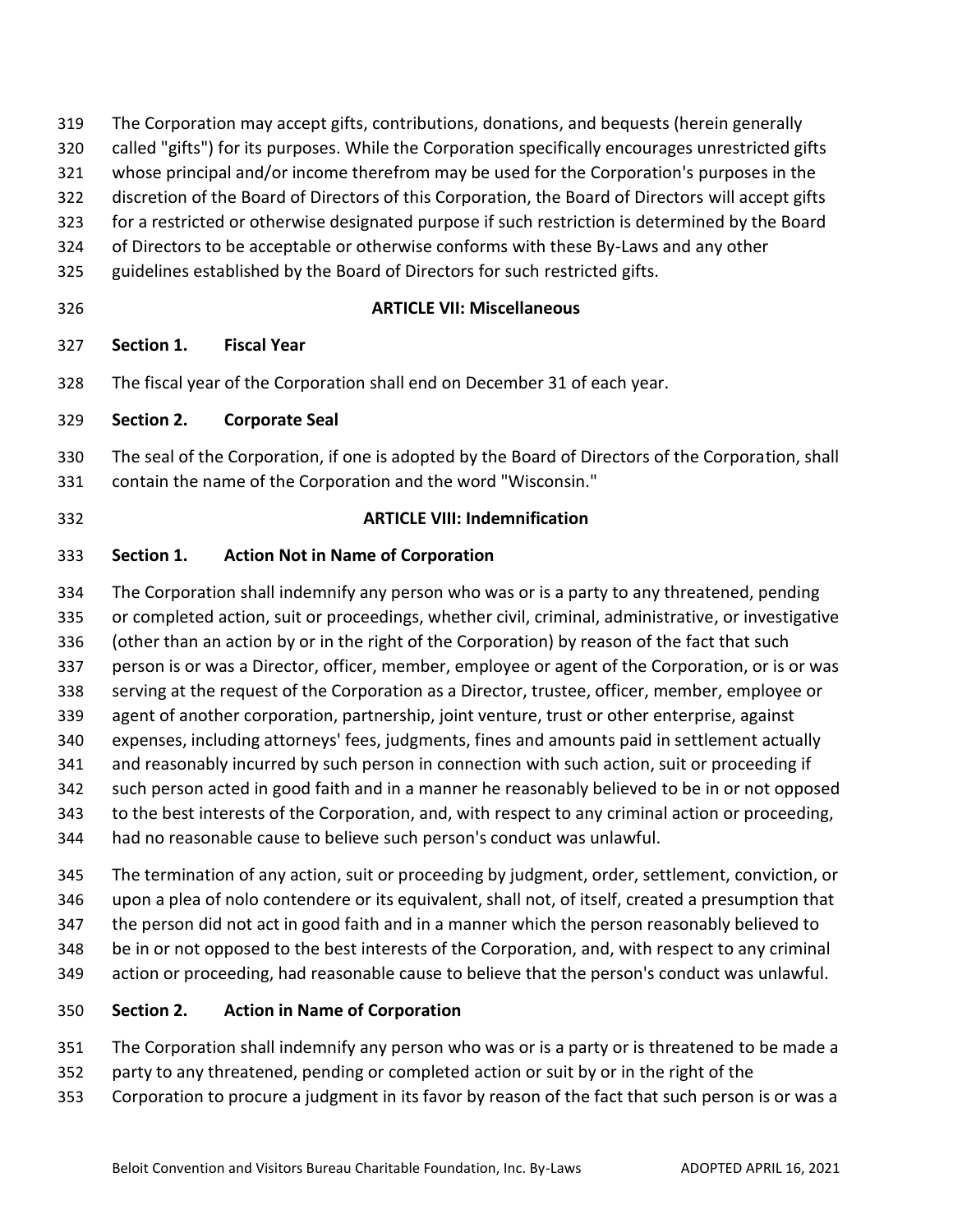- The Corporation may accept gifts, contributions, donations, and bequests (herein generally
- called "gifts") for its purposes. While the Corporation specifically encourages unrestricted gifts
- whose principal and/or income therefrom may be used for the Corporation's purposes in the
- discretion of the Board of Directors of this Corporation, the Board of Directors will accept gifts
- for a restricted or otherwise designated purpose if such restriction is determined by the Board
- of Directors to be acceptable or otherwise conforms with these By-Laws and any other
- guidelines established by the Board of Directors for such restricted gifts.
- 

## **ARTICLE VII: Miscellaneous**

## **Section 1. Fiscal Year**

The fiscal year of the Corporation shall end on December 31 of each year.

## **Section 2. Corporate Seal**

- The seal of the Corporation, if one is adopted by the Board of Directors of the Corporation, shall contain the name of the Corporation and the word "Wisconsin."
- **ARTICLE VIII: Indemnification**

## **Section 1. Action Not in Name of Corporation**

- The Corporation shall indemnify any person who was or is a party to any threatened, pending
- or completed action, suit or proceedings, whether civil, criminal, administrative, or investigative
- (other than an action by or in the right of the Corporation) by reason of the fact that such
- person is or was a Director, officer, member, employee or agent of the Corporation, or is or was
- serving at the request of the Corporation as a Director, trustee, officer, member, employee or
- agent of another corporation, partnership, joint venture, trust or other enterprise, against
- expenses, including attorneys' fees, judgments, fines and amounts paid in settlement actually
- and reasonably incurred by such person in connection with such action, suit or proceeding if
- such person acted in good faith and in a manner he reasonably believed to be in or not opposed
- to the best interests of the Corporation, and, with respect to any criminal action or proceeding,
- had no reasonable cause to believe such person's conduct was unlawful.
- The termination of any action, suit or proceeding by judgment, order, settlement, conviction, or
- upon a plea of nolo contendere or its equivalent, shall not, of itself, created a presumption that
- the person did not act in good faith and in a manner which the person reasonably believed to
- be in or not opposed to the best interests of the Corporation, and, with respect to any criminal
- action or proceeding, had reasonable cause to believe that the person's conduct was unlawful.

## **Section 2. Action in Name of Corporation**

- The Corporation shall indemnify any person who was or is a party or is threatened to be made a
- party to any threatened, pending or completed action or suit by or in the right of the
- Corporation to procure a judgment in its favor by reason of the fact that such person is or was a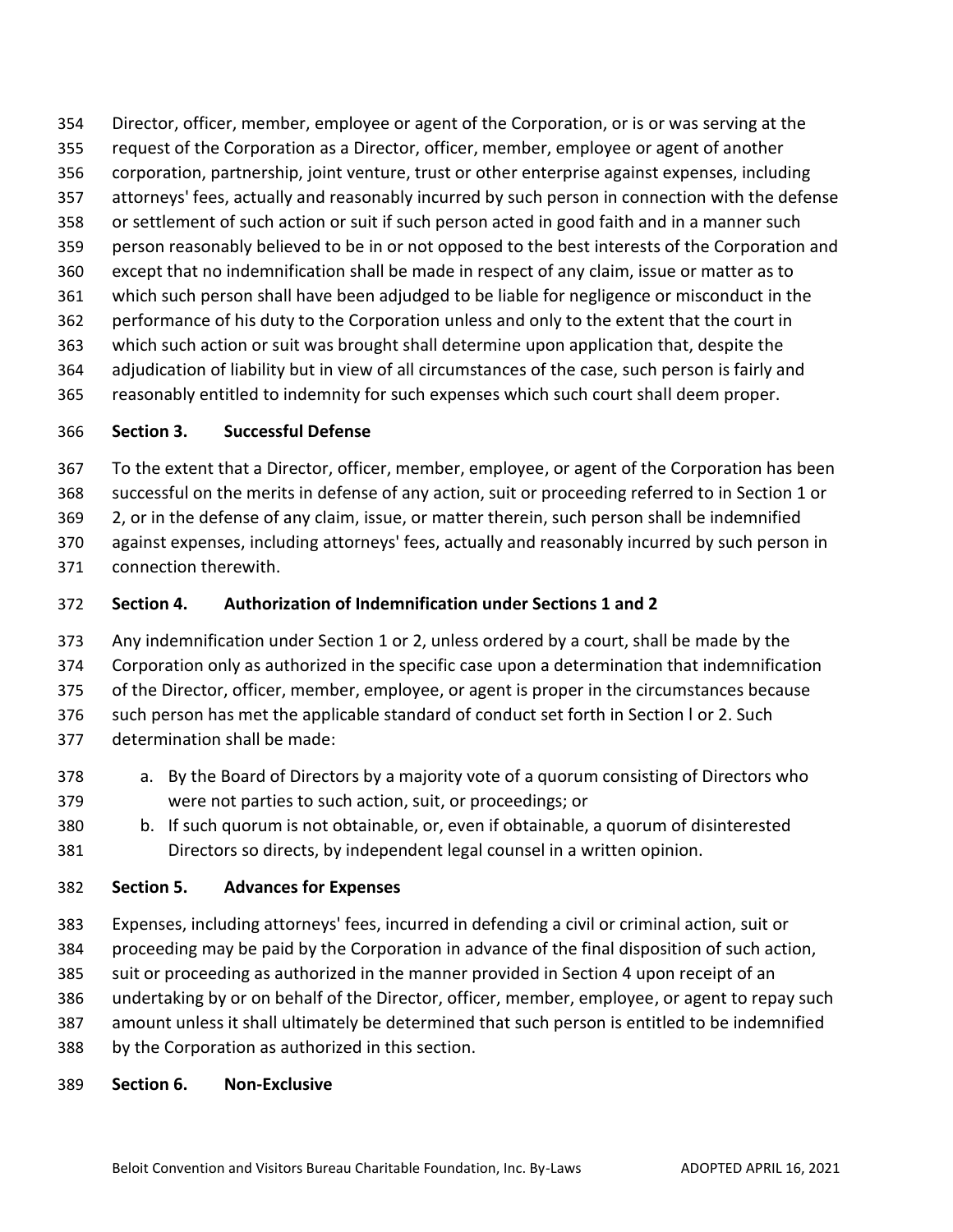Director, officer, member, employee or agent of the Corporation, or is or was serving at the request of the Corporation as a Director, officer, member, employee or agent of another corporation, partnership, joint venture, trust or other enterprise against expenses, including attorneys' fees, actually and reasonably incurred by such person in connection with the defense or settlement of such action or suit if such person acted in good faith and in a manner such person reasonably believed to be in or not opposed to the best interests of the Corporation and except that no indemnification shall be made in respect of any claim, issue or matter as to which such person shall have been adjudged to be liable for negligence or misconduct in the performance of his duty to the Corporation unless and only to the extent that the court in which such action or suit was brought shall determine upon application that, despite the adjudication of liability but in view of all circumstances of the case, such person is fairly and reasonably entitled to indemnity for such expenses which such court shall deem proper.

## **Section 3. Successful Defense**

 To the extent that a Director, officer, member, employee, or agent of the Corporation has been successful on the merits in defense of any action, suit or proceeding referred to in Section 1 or 2, or in the defense of any claim, issue, or matter therein, such person shall be indemnified against expenses, including attorneys' fees, actually and reasonably incurred by such person in connection therewith.

## **Section 4. Authorization of Indemnification under Sections 1 and 2**

 Any indemnification under Section 1 or 2, unless ordered by a court, shall be made by the Corporation only as authorized in the specific case upon a determination that indemnification of the Director, officer, member, employee, or agent is proper in the circumstances because

such person has met the applicable standard of conduct set forth in Section l or 2. Such

- determination shall be made:
- a. By the Board of Directors by a majority vote of a quorum consisting of Directors who were not parties to such action, suit, or proceedings; or
- b. If such quorum is not obtainable, or, even if obtainable, a quorum of disinterested Directors so directs, by independent legal counsel in a written opinion.

## **Section 5. Advances for Expenses**

Expenses, including attorneys' fees, incurred in defending a civil or criminal action, suit or

- proceeding may be paid by the Corporation in advance of the final disposition of such action,
- suit or proceeding as authorized in the manner provided in Section 4 upon receipt of an
- undertaking by or on behalf of the Director, officer, member, employee, or agent to repay such
- amount unless it shall ultimately be determined that such person is entitled to be indemnified
- by the Corporation as authorized in this section.

## **Section 6. Non-Exclusive**